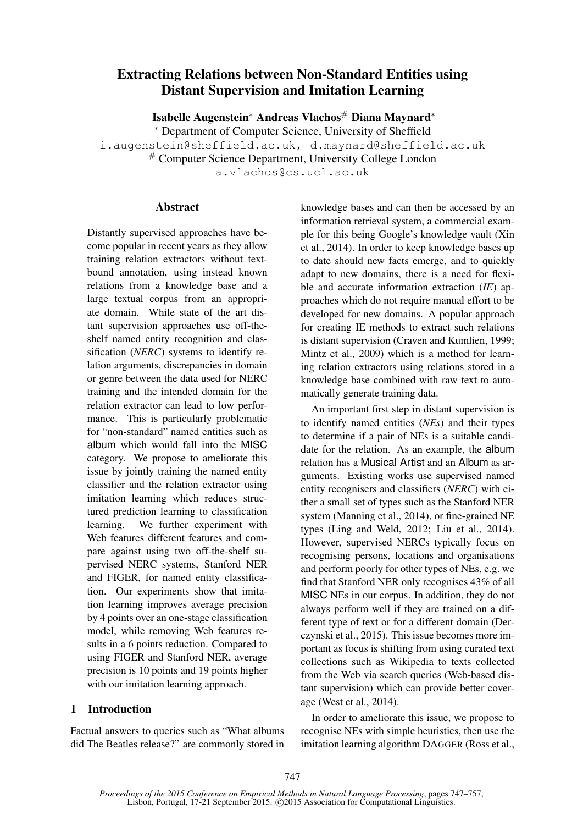# Extracting Relations between Non-Standard Entities using Distant Supervision and Imitation Learning

Isabelle Augenstein<sup>∗</sup> Andreas Vlachos<sup>#</sup> Diana Maynard<sup>∗</sup>

<sup>∗</sup> Department of Computer Science, University of Sheffield i.augenstein@sheffield.ac.uk, d.maynard@sheffield.ac.uk # Computer Science Department, University College London a.vlachos@cs.ucl.ac.uk

#### **Abstract**

Distantly supervised approaches have become popular in recent years as they allow training relation extractors without textbound annotation, using instead known relations from a knowledge base and a large textual corpus from an appropriate domain. While state of the art distant supervision approaches use off-theshelf named entity recognition and classification (*NERC*) systems to identify relation arguments, discrepancies in domain or genre between the data used for NERC training and the intended domain for the relation extractor can lead to low performance. This is particularly problematic for "non-standard" named entities such as album which would fall into the MISC category. We propose to ameliorate this issue by jointly training the named entity classifier and the relation extractor using imitation learning which reduces structured prediction learning to classification learning. We further experiment with Web features different features and compare against using two off-the-shelf supervised NERC systems, Stanford NER and FIGER, for named entity classification. Our experiments show that imitation learning improves average precision by 4 points over an one-stage classification model, while removing Web features results in a 6 points reduction. Compared to using FIGER and Stanford NER, average precision is 10 points and 19 points higher with our imitation learning approach.

### 1 Introduction

Factual answers to queries such as "What albums did The Beatles release?" are commonly stored in knowledge bases and can then be accessed by an information retrieval system, a commercial example for this being Google's knowledge vault (Xin et al., 2014). In order to keep knowledge bases up to date should new facts emerge, and to quickly adapt to new domains, there is a need for flexible and accurate information extraction (*IE*) approaches which do not require manual effort to be developed for new domains. A popular approach for creating IE methods to extract such relations is distant supervision (Craven and Kumlien, 1999; Mintz et al., 2009) which is a method for learning relation extractors using relations stored in a knowledge base combined with raw text to automatically generate training data.

An important first step in distant supervision is to identify named entities (*NEs*) and their types to determine if a pair of NEs is a suitable candidate for the relation. As an example, the album relation has a Musical Artist and an Album as arguments. Existing works use supervised named entity recognisers and classifiers (*NERC*) with either a small set of types such as the Stanford NER system (Manning et al., 2014), or fine-grained NE types (Ling and Weld, 2012; Liu et al., 2014). However, supervised NERCs typically focus on recognising persons, locations and organisations and perform poorly for other types of NEs, e.g. we find that Stanford NER only recognises 43% of all MISC NEs in our corpus. In addition, they do not always perform well if they are trained on a different type of text or for a different domain (Derczynski et al., 2015). This issue becomes more important as focus is shifting from using curated text collections such as Wikipedia to texts collected from the Web via search queries (Web-based distant supervision) which can provide better coverage (West et al., 2014).

In order to ameliorate this issue, we propose to recognise NEs with simple heuristics, then use the imitation learning algorithm DAGGER (Ross et al.,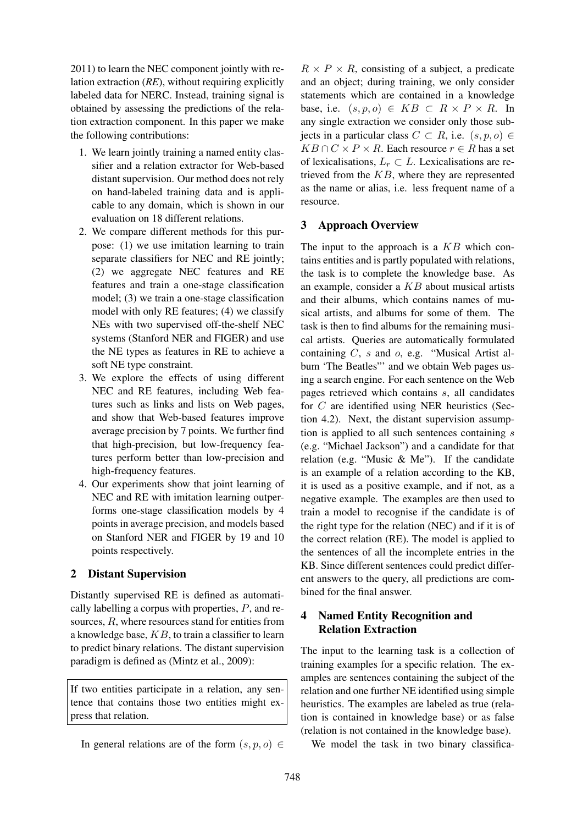2011) to learn the NEC component jointly with relation extraction (*RE*), without requiring explicitly labeled data for NERC. Instead, training signal is obtained by assessing the predictions of the relation extraction component. In this paper we make the following contributions:

- 1. We learn jointly training a named entity classifier and a relation extractor for Web-based distant supervision. Our method does not rely on hand-labeled training data and is applicable to any domain, which is shown in our evaluation on 18 different relations.
- 2. We compare different methods for this purpose: (1) we use imitation learning to train separate classifiers for NEC and RE jointly; (2) we aggregate NEC features and RE features and train a one-stage classification model; (3) we train a one-stage classification model with only RE features; (4) we classify NEs with two supervised off-the-shelf NEC systems (Stanford NER and FIGER) and use the NE types as features in RE to achieve a soft NE type constraint.
- 3. We explore the effects of using different NEC and RE features, including Web features such as links and lists on Web pages, and show that Web-based features improve average precision by 7 points. We further find that high-precision, but low-frequency features perform better than low-precision and high-frequency features.
- 4. Our experiments show that joint learning of NEC and RE with imitation learning outperforms one-stage classification models by 4 points in average precision, and models based on Stanford NER and FIGER by 19 and 10 points respectively.

### 2 Distant Supervision

Distantly supervised RE is defined as automatically labelling a corpus with properties, P, and resources, R, where resources stand for entities from a knowledge base,  $KB$ , to train a classifier to learn to predict binary relations. The distant supervision paradigm is defined as (Mintz et al., 2009):

If two entities participate in a relation, any sentence that contains those two entities might express that relation.

 $R \times P \times R$ , consisting of a subject, a predicate and an object; during training, we only consider statements which are contained in a knowledge base, i.e.  $(s, p, o) \in KB \subset R \times P \times R$ . In any single extraction we consider only those subjects in a particular class  $C \subset R$ , i.e.  $(s, p, o) \in$  $KB \cap C \times P \times R$ . Each resource  $r \in R$  has a set of lexicalisations,  $L_r \subset L$ . Lexicalisations are retrieved from the  $KB$ , where they are represented as the name or alias, i.e. less frequent name of a resource.

## 3 Approach Overview

The input to the approach is a  $KB$  which contains entities and is partly populated with relations, the task is to complete the knowledge base. As an example, consider a  $KB$  about musical artists and their albums, which contains names of musical artists, and albums for some of them. The task is then to find albums for the remaining musical artists. Queries are automatically formulated containing C, s and o, e.g. "Musical Artist album 'The Beatles"' and we obtain Web pages using a search engine. For each sentence on the Web pages retrieved which contains s, all candidates for C are identified using NER heuristics (Section 4.2). Next, the distant supervision assumption is applied to all such sentences containing  $s$ (e.g. "Michael Jackson") and a candidate for that relation (e.g. "Music & Me"). If the candidate is an example of a relation according to the KB, it is used as a positive example, and if not, as a negative example. The examples are then used to train a model to recognise if the candidate is of the right type for the relation (NEC) and if it is of the correct relation (RE). The model is applied to the sentences of all the incomplete entries in the KB. Since different sentences could predict different answers to the query, all predictions are combined for the final answer.

## 4 Named Entity Recognition and Relation Extraction

The input to the learning task is a collection of training examples for a specific relation. The examples are sentences containing the subject of the relation and one further NE identified using simple heuristics. The examples are labeled as true (relation is contained in knowledge base) or as false (relation is not contained in the knowledge base).

We model the task in two binary classifica-

In general relations are of the form  $(s, p, o) \in$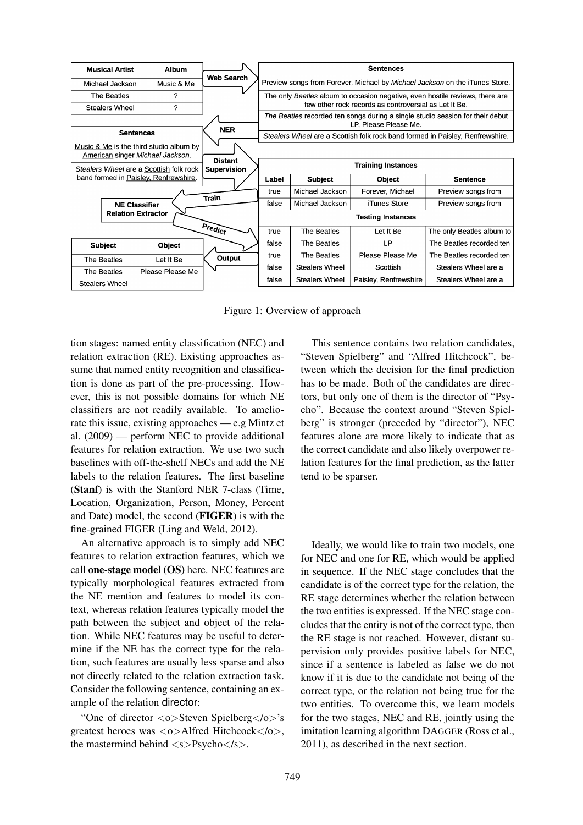| <b>Musical Artist</b>                                                           | <b>Album</b>     |                   | <b>Sentences</b>                                                                                       |                                                                             |                          |                                                                               |  |  |  |  |
|---------------------------------------------------------------------------------|------------------|-------------------|--------------------------------------------------------------------------------------------------------|-----------------------------------------------------------------------------|--------------------------|-------------------------------------------------------------------------------|--|--|--|--|
| Michael Jackson                                                                 | Music & Me       | <b>Web Search</b> |                                                                                                        | Preview songs from Forever, Michael by Michael Jackson on the iTunes Store. |                          |                                                                               |  |  |  |  |
| The Beatles                                                                     | ?                |                   | The only Beatles album to occasion negative, even hostile reviews, there are                           |                                                                             |                          |                                                                               |  |  |  |  |
| <b>Stealers Wheel</b>                                                           | 2                |                   | few other rock records as controversial as Let It Be.                                                  |                                                                             |                          |                                                                               |  |  |  |  |
|                                                                                 |                  | <b>NER</b>        | The Beatles recorded ten songs during a single studio session for their debut<br>LP, Please Please Me. |                                                                             |                          |                                                                               |  |  |  |  |
| <b>Sentences</b>                                                                |                  |                   |                                                                                                        |                                                                             |                          | Stealers Wheel are a Scottish folk rock band formed in Paisley, Renfrewshire. |  |  |  |  |
| Music & Me is the third studio album by<br>American singer Michael Jackson.     |                  |                   |                                                                                                        |                                                                             |                          |                                                                               |  |  |  |  |
| <b>Distant</b><br>Stealers Wheel are a Scottish folk rock<br><b>Supervision</b> |                  |                   | <b>Training Instances</b>                                                                              |                                                                             |                          |                                                                               |  |  |  |  |
| band formed in Paisley, Renfrewshire.                                           |                  |                   | Label                                                                                                  | <b>Subject</b>                                                              | Object                   | <b>Sentence</b>                                                               |  |  |  |  |
|                                                                                 | Train            | true              | Michael Jackson                                                                                        | Forever, Michael                                                            | Preview songs from       |                                                                               |  |  |  |  |
| <b>NE Classifier</b>                                                            |                  |                   | false                                                                                                  | Michael Jackson                                                             | iTunes Store             | Preview songs from                                                            |  |  |  |  |
| <b>Relation Extractor</b>                                                       |                  |                   |                                                                                                        |                                                                             | <b>Testing Instances</b> |                                                                               |  |  |  |  |
|                                                                                 |                  | Predict           | true                                                                                                   | The Beatles                                                                 | Let It Be                | The only Beatles album to                                                     |  |  |  |  |
| <b>Subject</b>                                                                  | Object           |                   | false                                                                                                  | The Beatles                                                                 | LP                       | The Beatles recorded ten                                                      |  |  |  |  |
| The Beatles                                                                     | Let It Be        | Output            | true                                                                                                   | <b>The Beatles</b>                                                          | Please Please Me         | The Beatles recorded ten                                                      |  |  |  |  |
| The Beatles                                                                     | Please Please Me |                   | false                                                                                                  | <b>Stealers Wheel</b>                                                       | Scottish                 | Stealers Wheel are a                                                          |  |  |  |  |
| <b>Stealers Wheel</b>                                                           |                  |                   | <b>Stealers Wheel</b><br>Paisley, Renfrewshire<br>Stealers Wheel are a<br>false                        |                                                                             |                          |                                                                               |  |  |  |  |

Figure 1: Overview of approach

tion stages: named entity classification (NEC) and relation extraction (RE). Existing approaches assume that named entity recognition and classification is done as part of the pre-processing. However, this is not possible domains for which NE classifiers are not readily available. To ameliorate this issue, existing approaches — e.g Mintz et al. (2009) — perform NEC to provide additional features for relation extraction. We use two such baselines with off-the-shelf NECs and add the NE labels to the relation features. The first baseline (Stanf) is with the Stanford NER 7-class (Time, Location, Organization, Person, Money, Percent and Date) model, the second (FIGER) is with the fine-grained FIGER (Ling and Weld, 2012).

An alternative approach is to simply add NEC features to relation extraction features, which we call one-stage model (OS) here. NEC features are typically morphological features extracted from the NE mention and features to model its context, whereas relation features typically model the path between the subject and object of the relation. While NEC features may be useful to determine if the NE has the correct type for the relation, such features are usually less sparse and also not directly related to the relation extraction task. Consider the following sentence, containing an example of the relation director:

"One of director <o>Steven Spielberg</o>'s greatest heroes was <o>Alfred Hitchcock</o>, the mastermind behind  $\langle s \rangle$ Psycho $\langle s \rangle$ .

This sentence contains two relation candidates, "Steven Spielberg" and "Alfred Hitchcock", between which the decision for the final prediction has to be made. Both of the candidates are directors, but only one of them is the director of "Psycho". Because the context around "Steven Spielberg" is stronger (preceded by "director"), NEC features alone are more likely to indicate that as the correct candidate and also likely overpower relation features for the final prediction, as the latter tend to be sparser.

Ideally, we would like to train two models, one for NEC and one for RE, which would be applied in sequence. If the NEC stage concludes that the candidate is of the correct type for the relation, the RE stage determines whether the relation between the two entities is expressed. If the NEC stage concludes that the entity is not of the correct type, then the RE stage is not reached. However, distant supervision only provides positive labels for NEC, since if a sentence is labeled as false we do not know if it is due to the candidate not being of the correct type, or the relation not being true for the two entities. To overcome this, we learn models for the two stages, NEC and RE, jointly using the imitation learning algorithm DAGGER (Ross et al., 2011), as described in the next section.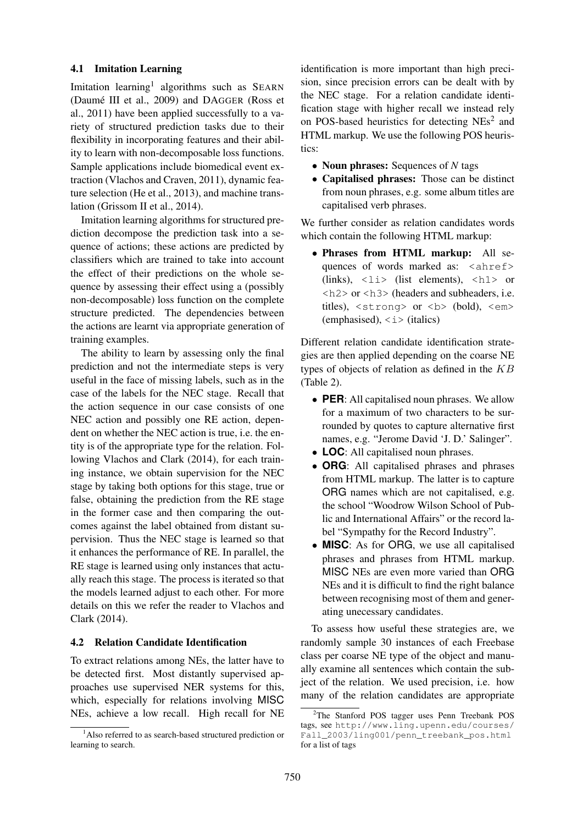#### 4.1 Imitation Learning

Imitation learning<sup>1</sup> algorithms such as SEARN (Daumé III et al., 2009) and DAGGER (Ross et al., 2011) have been applied successfully to a variety of structured prediction tasks due to their flexibility in incorporating features and their ability to learn with non-decomposable loss functions. Sample applications include biomedical event extraction (Vlachos and Craven, 2011), dynamic feature selection (He et al., 2013), and machine translation (Grissom II et al., 2014).

Imitation learning algorithms for structured prediction decompose the prediction task into a sequence of actions; these actions are predicted by classifiers which are trained to take into account the effect of their predictions on the whole sequence by assessing their effect using a (possibly non-decomposable) loss function on the complete structure predicted. The dependencies between the actions are learnt via appropriate generation of training examples.

The ability to learn by assessing only the final prediction and not the intermediate steps is very useful in the face of missing labels, such as in the case of the labels for the NEC stage. Recall that the action sequence in our case consists of one NEC action and possibly one RE action, dependent on whether the NEC action is true, i.e. the entity is of the appropriate type for the relation. Following Vlachos and Clark (2014), for each training instance, we obtain supervision for the NEC stage by taking both options for this stage, true or false, obtaining the prediction from the RE stage in the former case and then comparing the outcomes against the label obtained from distant supervision. Thus the NEC stage is learned so that it enhances the performance of RE. In parallel, the RE stage is learned using only instances that actually reach this stage. The process is iterated so that the models learned adjust to each other. For more details on this we refer the reader to Vlachos and Clark (2014).

#### 4.2 Relation Candidate Identification

To extract relations among NEs, the latter have to be detected first. Most distantly supervised approaches use supervised NER systems for this, which, especially for relations involving MISC NEs, achieve a low recall. High recall for NE

identification is more important than high precision, since precision errors can be dealt with by the NEC stage. For a relation candidate identification stage with higher recall we instead rely on POS-based heuristics for detecting NEs<sup>2</sup> and HTML markup. We use the following POS heuristics:

- Noun phrases: Sequences of *N* tags
- Capitalised phrases: Those can be distinct from noun phrases, e.g. some album titles are capitalised verb phrases.

We further consider as relation candidates words which contain the following HTML markup:

• Phrases from HTML markup: All sequences of words marked as: <ahref> (links),  $\langle$ 1i> (list elements),  $\langle$ h1> or <h2> or <h3> (headers and subheaders, i.e. titles),  $\langle$ strong> or  $\langle$ b> (bold),  $\langle$ em> (emphasised),  $\langle i \rangle$  (italics)

Different relation candidate identification strategies are then applied depending on the coarse NE types of objects of relation as defined in the  $KB$ (Table 2).

- **PER**: All capitalised noun phrases. We allow for a maximum of two characters to be surrounded by quotes to capture alternative first names, e.g. "Jerome David 'J. D.' Salinger".
- **LOC**: All capitalised noun phrases.
- **ORG**: All capitalised phrases and phrases from HTML markup. The latter is to capture ORG names which are not capitalised, e.g. the school "Woodrow Wilson School of Public and International Affairs" or the record label "Sympathy for the Record Industry".
- **MISC**: As for ORG, we use all capitalised phrases and phrases from HTML markup. MISC NEs are even more varied than ORG NEs and it is difficult to find the right balance between recognising most of them and generating unecessary candidates.

To assess how useful these strategies are, we randomly sample 30 instances of each Freebase class per coarse NE type of the object and manually examine all sentences which contain the subject of the relation. We used precision, i.e. how many of the relation candidates are appropriate

<sup>&</sup>lt;sup>1</sup>Also referred to as search-based structured prediction or learning to search.

<sup>2</sup>The Stanford POS tagger uses Penn Treebank POS tags, see http://www.ling.upenn.edu/courses/ Fall\_2003/ling001/penn\_treebank\_pos.html for a list of tags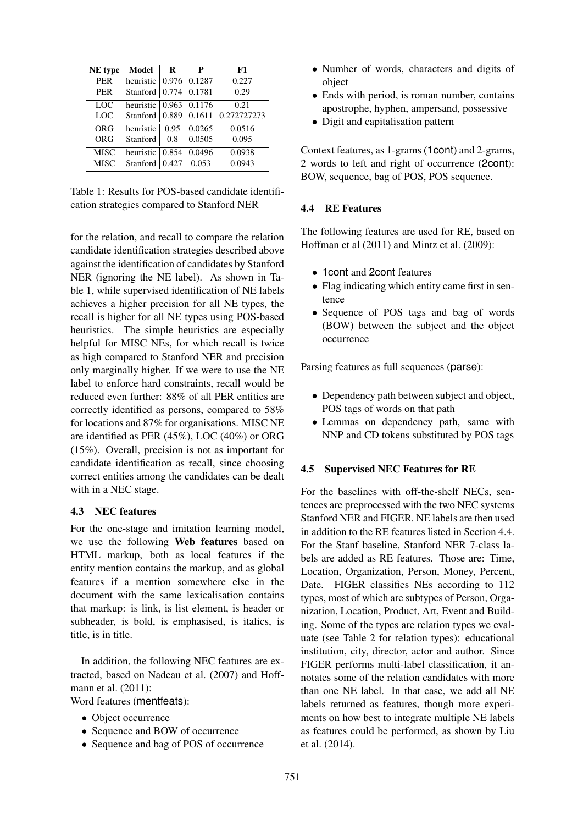| NE type     | Model                  | R     | р            | F1                       |
|-------------|------------------------|-------|--------------|--------------------------|
| <b>PER</b>  | heuristic 0.976 0.1287 |       |              | 0.227                    |
| <b>PER</b>  | Stanford               |       | 0.774 0.1781 | 0.29                     |
| LOC         | heuristic              |       | 0.963 0.1176 | 0.21                     |
| LOC         | Stanford               |       |              | 0.889 0.1611 0.272727273 |
| ORG         | heuristic              | 0.95  | 0.0265       | 0.0516                   |
| ORG         | Stanford               | 0.8   | 0.0505       | 0.095                    |
| <b>MISC</b> | heuristic              | 0.854 | 0.0496       | 0.0938                   |
| <b>MISC</b> | Stanford               | 0.427 | 0.053        | 0.0943                   |

Table 1: Results for POS-based candidate identification strategies compared to Stanford NER

for the relation, and recall to compare the relation candidate identification strategies described above against the identification of candidates by Stanford NER (ignoring the NE label). As shown in Table 1, while supervised identification of NE labels achieves a higher precision for all NE types, the recall is higher for all NE types using POS-based heuristics. The simple heuristics are especially helpful for MISC NEs, for which recall is twice as high compared to Stanford NER and precision only marginally higher. If we were to use the NE label to enforce hard constraints, recall would be reduced even further: 88% of all PER entities are correctly identified as persons, compared to 58% for locations and 87% for organisations. MISC NE are identified as PER (45%), LOC (40%) or ORG (15%). Overall, precision is not as important for candidate identification as recall, since choosing correct entities among the candidates can be dealt with in a NEC stage.

#### 4.3 NEC features

For the one-stage and imitation learning model, we use the following Web features based on HTML markup, both as local features if the entity mention contains the markup, and as global features if a mention somewhere else in the document with the same lexicalisation contains that markup: is link, is list element, is header or subheader, is bold, is emphasised, is italics, is title, is in title.

In addition, the following NEC features are extracted, based on Nadeau et al. (2007) and Hoffmann et al. (2011):

Word features (mentfeats):

- Object occurrence
- Sequence and BOW of occurrence
- Sequence and bag of POS of occurrence
- Number of words, characters and digits of object
- Ends with period, is roman number, contains apostrophe, hyphen, ampersand, possessive
- Digit and capitalisation pattern

Context features, as 1-grams (1cont) and 2-grams, 2 words to left and right of occurrence (2cont): BOW, sequence, bag of POS, POS sequence.

#### 4.4 RE Features

The following features are used for RE, based on Hoffman et al (2011) and Mintz et al. (2009):

- 1cont and 2cont features
- Flag indicating which entity came first in sentence
- Sequence of POS tags and bag of words (BOW) between the subject and the object occurrence

Parsing features as full sequences (parse):

- Dependency path between subject and object, POS tags of words on that path
- Lemmas on dependency path, same with NNP and CD tokens substituted by POS tags

#### 4.5 Supervised NEC Features for RE

For the baselines with off-the-shelf NECs, sentences are preprocessed with the two NEC systems Stanford NER and FIGER. NE labels are then used in addition to the RE features listed in Section 4.4. For the Stanf baseline, Stanford NER 7-class labels are added as RE features. Those are: Time, Location, Organization, Person, Money, Percent, Date. FIGER classifies NEs according to 112 types, most of which are subtypes of Person, Organization, Location, Product, Art, Event and Building. Some of the types are relation types we evaluate (see Table 2 for relation types): educational institution, city, director, actor and author. Since FIGER performs multi-label classification, it annotates some of the relation candidates with more than one NE label. In that case, we add all NE labels returned as features, though more experiments on how best to integrate multiple NE labels as features could be performed, as shown by Liu et al. (2014).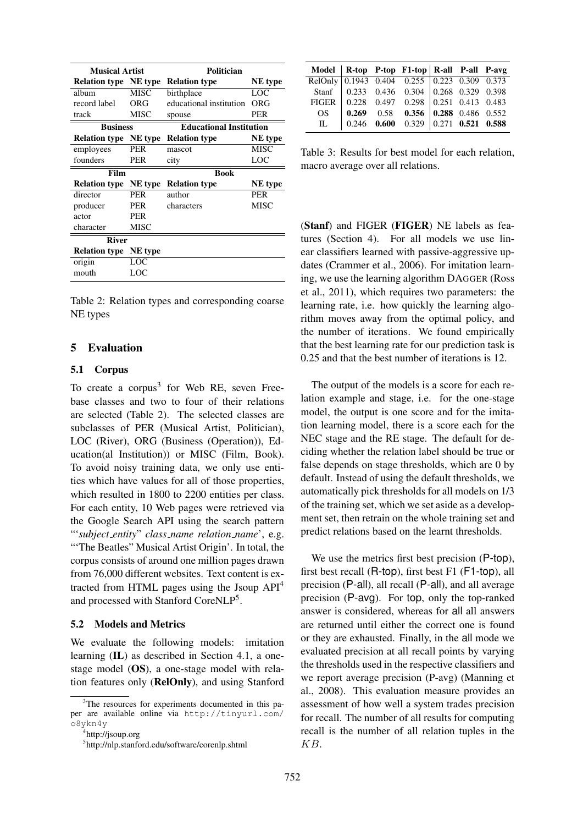| <b>Musical Artist</b>        |             | Politician                     |            |  |  |  |
|------------------------------|-------------|--------------------------------|------------|--|--|--|
| <b>Relation type</b> NE type |             | <b>Relation type</b>           | NE type    |  |  |  |
| album                        | <b>MISC</b> | birthplace                     | LOC        |  |  |  |
| record label                 | ORG         | educational institution        | ORG        |  |  |  |
| track                        | <b>MISC</b> | spouse                         | <b>PER</b> |  |  |  |
| <b>Business</b>              |             | <b>Educational Institution</b> |            |  |  |  |
| <b>Relation type</b>         | NE type     | <b>Relation type</b>           | NE type    |  |  |  |
| employees                    | PER         | mascot                         | MISC       |  |  |  |
| founders                     | PER         | city                           | LOC        |  |  |  |
| Film                         |             | <b>Book</b>                    |            |  |  |  |
| <b>Relation type</b>         | NE type     | <b>Relation type</b>           | NE type    |  |  |  |
| director                     | <b>PER</b>  | author                         | <b>PER</b> |  |  |  |
| producer                     | PER         | characters                     | MISC       |  |  |  |
| actor                        | PER         |                                |            |  |  |  |
| character                    | <b>MISC</b> |                                |            |  |  |  |
| <b>River</b>                 |             |                                |            |  |  |  |
| <b>Relation type</b>         | NE type     |                                |            |  |  |  |
| origin                       | LOC         |                                |            |  |  |  |
| mouth                        | LOC         |                                |            |  |  |  |

Table 2: Relation types and corresponding coarse NE types

#### 5 Evaluation

#### 5.1 Corpus

To create a corpus<sup>3</sup> for Web RE, seven Freebase classes and two to four of their relations are selected (Table 2). The selected classes are subclasses of PER (Musical Artist, Politician), LOC (River), ORG (Business (Operation)), Education(al Institution)) or MISC (Film, Book). To avoid noisy training data, we only use entities which have values for all of those properties, which resulted in 1800 to 2200 entities per class. For each entity, 10 Web pages were retrieved via the Google Search API using the search pattern "'*subject entity*" *class name relation name*', e.g. "The Beatles" Musical Artist Origin'. In total, the corpus consists of around one million pages drawn from 76,000 different websites. Text content is extracted from HTML pages using the Jsoup API<sup>4</sup> and processed with Stanford CoreNLP<sup>5</sup>.

#### 5.2 Models and Metrics

We evaluate the following models: imitation learning (IL) as described in Section 4.1, a onestage model (OS), a one-stage model with relation features only (RelOnly), and using Stanford

| Model   R-top P-top F1-top   R-all P-all P-avg                                       |  |                                               |  |  |
|--------------------------------------------------------------------------------------|--|-----------------------------------------------|--|--|
| RelOnly $\boxed{0.1943 \quad 0.404 \quad 0.255 \quad 0.223 \quad 0.309 \quad 0.373}$ |  |                                               |  |  |
|                                                                                      |  | Stanf   0.233 0.436 0.304   0.268 0.329 0.398 |  |  |
| FIGER 0.228 0.497 0.298 0.251 0.413 0.483                                            |  |                                               |  |  |
| OS                                                                                   |  | $0.269$ 0.58 0.356 0.288 0.486 0.552          |  |  |
|                                                                                      |  | IL   0.246 0.600 0.329   0.271 0.521 0.588    |  |  |

Table 3: Results for best model for each relation, macro average over all relations.

(Stanf) and FIGER (FIGER) NE labels as features (Section 4). For all models we use linear classifiers learned with passive-aggressive updates (Crammer et al., 2006). For imitation learning, we use the learning algorithm DAGGER (Ross et al., 2011), which requires two parameters: the learning rate, i.e. how quickly the learning algorithm moves away from the optimal policy, and the number of iterations. We found empirically that the best learning rate for our prediction task is 0.25 and that the best number of iterations is 12.

The output of the models is a score for each relation example and stage, i.e. for the one-stage model, the output is one score and for the imitation learning model, there is a score each for the NEC stage and the RE stage. The default for deciding whether the relation label should be true or false depends on stage thresholds, which are 0 by default. Instead of using the default thresholds, we automatically pick thresholds for all models on 1/3 of the training set, which we set aside as a development set, then retrain on the whole training set and predict relations based on the learnt thresholds.

We use the metrics first best precision (P-top), first best recall (R-top), first best F1 (F1-top), all precision (P-all), all recall (P-all), and all average precision (P-avg). For top, only the top-ranked answer is considered, whereas for all all answers are returned until either the correct one is found or they are exhausted. Finally, in the all mode we evaluated precision at all recall points by varying the thresholds used in the respective classifiers and we report average precision (P-avg) (Manning et al., 2008). This evaluation measure provides an assessment of how well a system trades precision for recall. The number of all results for computing recall is the number of all relation tuples in the KB.

<sup>&</sup>lt;sup>3</sup>The resources for experiments documented in this paper are available online via http://tinyurl.com/ o8ykn4y 4 http://jsoup.org

<sup>5</sup> http://nlp.stanford.edu/software/corenlp.shtml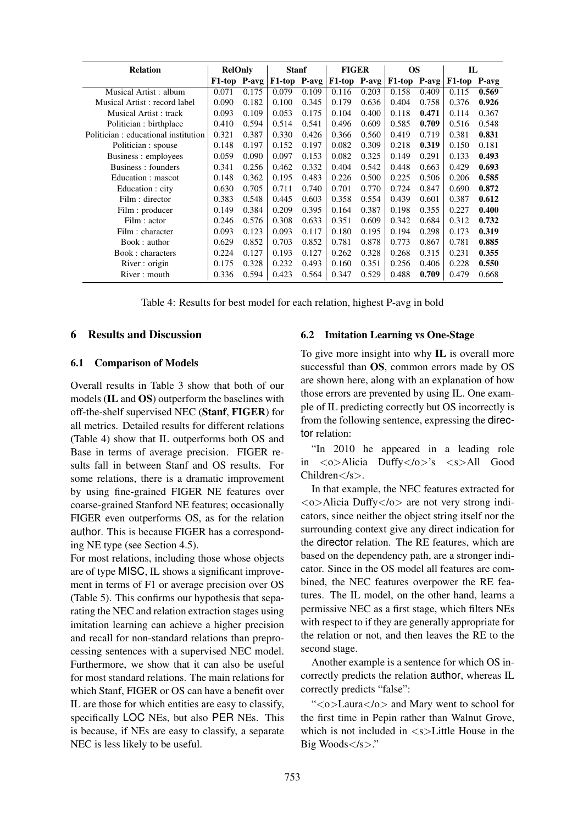| <b>Relation</b>                      | <b>RelOnly</b> |       | <b>Stanf</b> |       | <b>FIGER</b> |       | <b>OS</b>    |       | $\mathbf{L}$        |       |
|--------------------------------------|----------------|-------|--------------|-------|--------------|-------|--------------|-------|---------------------|-------|
|                                      | F1-top P-avg   |       | F1-top P-avg |       | F1-top P-avg |       | F1-top P-avg |       | F <sub>1</sub> -top | P-avg |
| Musical Artist: album                | 0.071          | 0.175 | 0.079        | 0.109 | 0.116        | 0.203 | 0.158        | 0.409 | 0.115               | 0.569 |
| Musical Artist: record label         | 0.090          | 0.182 | 0.100        | 0.345 | 0.179        | 0.636 | 0.404        | 0.758 | 0.376               | 0.926 |
| Musical Artist : track               | 0.093          | 0.109 | 0.053        | 0.175 | 0.104        | 0.400 | 0.118        | 0.471 | 0.114               | 0.367 |
| Politician : birthplace              | 0.410          | 0.594 | 0.514        | 0.541 | 0.496        | 0.609 | 0.585        | 0.709 | 0.516               | 0.548 |
| Politician : educational institution | 0.321          | 0.387 | 0.330        | 0.426 | 0.366        | 0.560 | 0.419        | 0.719 | 0.381               | 0.831 |
| Politician : spouse                  | 0.148          | 0.197 | 0.152        | 0.197 | 0.082        | 0.309 | 0.218        | 0.319 | 0.150               | 0.181 |
| Business: employees                  | 0.059          | 0.090 | 0.097        | 0.153 | 0.082        | 0.325 | 0.149        | 0.291 | 0.133               | 0.493 |
| Business: founders                   | 0.341          | 0.256 | 0.462        | 0.332 | 0.404        | 0.542 | 0.448        | 0.663 | 0.429               | 0.693 |
| Education : mascot                   | 0.148          | 0.362 | 0.195        | 0.483 | 0.226        | 0.500 | 0.225        | 0.506 | 0.206               | 0.585 |
| Education : city                     | 0.630          | 0.705 | 0.711        | 0.740 | 0.701        | 0.770 | 0.724        | 0.847 | 0.690               | 0.872 |
| Film : director                      | 0.383          | 0.548 | 0.445        | 0.603 | 0.358        | 0.554 | 0.439        | 0.601 | 0.387               | 0.612 |
| Film : producer                      | 0.149          | 0.384 | 0.209        | 0.395 | 0.164        | 0.387 | 0.198        | 0.355 | 0.227               | 0.400 |
| Film : actor                         | 0.246          | 0.576 | 0.308        | 0.633 | 0.351        | 0.609 | 0.342        | 0.684 | 0.312               | 0.732 |
| Film : character                     | 0.093          | 0.123 | 0.093        | 0.117 | 0.180        | 0.195 | 0.194        | 0.298 | 0.173               | 0.319 |
| Book: author                         | 0.629          | 0.852 | 0.703        | 0.852 | 0.781        | 0.878 | 0.773        | 0.867 | 0.781               | 0.885 |
| Book: characters                     | 0.224          | 0.127 | 0.193        | 0.127 | 0.262        | 0.328 | 0.268        | 0.315 | 0.231               | 0.355 |
| River: origin                        | 0.175          | 0.328 | 0.232        | 0.493 | 0.160        | 0.351 | 0.256        | 0.406 | 0.228               | 0.550 |
| River: mouth                         | 0.336          | 0.594 | 0.423        | 0.564 | 0.347        | 0.529 | 0.488        | 0.709 | 0.479               | 0.668 |

Table 4: Results for best model for each relation, highest P-avg in bold

### 6 Results and Discussion

#### 6.1 Comparison of Models

Overall results in Table 3 show that both of our models (IL and OS) outperform the baselines with off-the-shelf supervised NEC (Stanf, FIGER) for all metrics. Detailed results for different relations (Table 4) show that IL outperforms both OS and Base in terms of average precision. FIGER results fall in between Stanf and OS results. For some relations, there is a dramatic improvement by using fine-grained FIGER NE features over coarse-grained Stanford NE features; occasionally FIGER even outperforms OS, as for the relation author. This is because FIGER has a corresponding NE type (see Section 4.5).

For most relations, including those whose objects are of type MISC, IL shows a significant improvement in terms of F1 or average precision over OS (Table 5). This confirms our hypothesis that separating the NEC and relation extraction stages using imitation learning can achieve a higher precision and recall for non-standard relations than preprocessing sentences with a supervised NEC model. Furthermore, we show that it can also be useful for most standard relations. The main relations for which Stanf, FIGER or OS can have a benefit over IL are those for which entities are easy to classify, specifically LOC NEs, but also PER NEs. This is because, if NEs are easy to classify, a separate NEC is less likely to be useful.

#### 6.2 Imitation Learning vs One-Stage

To give more insight into why IL is overall more successful than OS, common errors made by OS are shown here, along with an explanation of how those errors are prevented by using IL. One example of IL predicting correctly but OS incorrectly is from the following sentence, expressing the director relation:

"In 2010 he appeared in a leading role in <o>Alicia Duffy</o>'s <s>All Good Children</s>.

In that example, the NEC features extracted for  $\langle \circ \rangle$ Alicia Duffy $\langle \circ \rangle$  are not very strong indicators, since neither the object string itself nor the surrounding context give any direct indication for the director relation. The RE features, which are based on the dependency path, are a stronger indicator. Since in the OS model all features are combined, the NEC features overpower the RE features. The IL model, on the other hand, learns a permissive NEC as a first stage, which filters NEs with respect to if they are generally appropriate for the relation or not, and then leaves the RE to the second stage.

Another example is a sentence for which OS incorrectly predicts the relation author, whereas IL correctly predicts "false":

"<o>Laura</o> and Mary went to school for the first time in Pepin rather than Walnut Grove, which is not included in  $\langle s \rangle$ -Little House in the Big Woods</s>."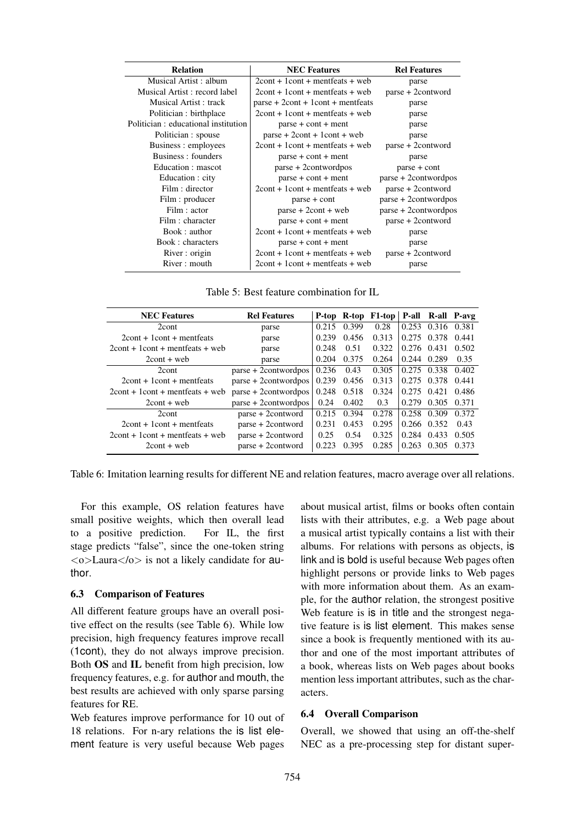| <b>Relation</b>                     | <b>NEC</b> Features                 | <b>Rel Features</b>  |
|-------------------------------------|-------------------------------------|----------------------|
| Musical Artist: album               | $2$ cont + 1 cont + mentfeats + web | parse                |
| Musical Artist: record label        | $2$ cont + 1 cont + mentfeats + web | parse + 2contword    |
| Musical Artist : track              | $parse + 2cont + 1cont + mentfeats$ | parse                |
| Politician : birthplace             | $2$ cont + 1 cont + mentfeats + web | parse                |
| Politician: educational institution | $parse + cont + ment$               | parse                |
| Politician : spouse                 | $parse + 2cont + 1cont + web$       | parse                |
| Business : employees                | $2$ cont + 1 cont + mentfeats + web | parse + 2contword    |
| Business: founders                  | $parse + cont + ment$               | parse                |
| Education : mascot                  | parse + 2contwordpos                | $parse + cont$       |
| Education : city                    | $parse + cont + ment$               | parse + 2contwordpos |
| Film : director                     | $2$ cont + 1 cont + mentfeats + web | parse + 2contword    |
| Film : producer                     | $parse + cont$                      | parse + 2contwordpos |
| Film : actor                        | $parse + 2cont + web$               | parse + 2contwordpos |
| Film : character                    | $parse + cont + ment$               | parse + 2contword    |
| Book: author                        | $2$ cont + 1 cont + mentfeats + web | parse                |
| Book: characters                    | $parse + cont + ment$               | parse                |
| River: origin                       | $2$ cont + 1 cont + mentfeats + web | parse + 2contword    |
| River: mouth                        | $2$ cont + 1 cont + mentfeats + web | parse                |

Table 5: Best feature combination for IL

| <b>NEC Features</b>                 | <b>Rel Features</b>  |       |       | P-top R-top F1-top   P-all R-all P-avg |             |       |       |
|-------------------------------------|----------------------|-------|-------|----------------------------------------|-------------|-------|-------|
| 2cont                               | parse                | 0.215 | 0.399 | 0.28                                   | 0.253       | 0.316 | 0.381 |
| $2$ cont + 1 cont + mentfeats       | parse                | 0.239 | 0.456 | 0.313                                  | 0.275 0.378 |       | 0.441 |
| $2$ cont + 1 cont + mentfeats + web | parse                | 0.248 | 0.51  | 0.322                                  | 0.276 0.431 |       | 0.502 |
| $2$ cont + web                      | parse                | 0.204 | 0.375 | 0.264                                  | 0.244       | 0.289 | 0.35  |
| 2cont                               | parse + 2contwordpos | 0.236 | 0.43  | 0.305                                  | 0.275       | 0.338 | 0.402 |
| $2$ cont + 1 cont + mentfeats       | parse + 2contwordpos | 0.239 | 0.456 | 0.313                                  | 0.275 0.378 |       | 0.441 |
| $2$ cont + 1 cont + mentfeats + web | parse + 2contwordpos | 0.248 | 0.518 | 0.324                                  | 0.275       | 0.421 | 0.486 |
| $2$ cont + web                      | parse + 2contwordpos | 0.24  | 0.402 | 0.3                                    | 0.279       | 0.305 | 0.371 |
| 2cont                               | parse + 2contword    | 0.215 | 0.394 | 0.278                                  | 0.258       | 0.309 | 0.372 |
| $2$ cont + 1 cont + mentfeats       | parse + 2contword    | 0.231 | 0.453 | 0.295                                  | 0.266 0.352 |       | 0.43  |
| $2$ cont + 1 cont + mentfeats + web | parse + 2contword    | 0.25  | 0.54  | 0.325                                  | 0.284       | 0.433 | 0.505 |
| $2$ cont + web                      | parse + 2contword    | 0.223 | 0.395 | 0.285                                  | 0.263       | 0.305 | 0.373 |

Table 6: Imitation learning results for different NE and relation features, macro average over all relations.

For this example, OS relation features have small positive weights, which then overall lead to a positive prediction. For IL, the first stage predicts "false", since the one-token string  $\langle \circ \rangle$ Laura $\langle / \circ \rangle$  is not a likely candidate for author.

#### 6.3 Comparison of Features

All different feature groups have an overall positive effect on the results (see Table 6). While low precision, high frequency features improve recall (1cont), they do not always improve precision. Both OS and IL benefit from high precision, low frequency features, e.g. for author and mouth, the best results are achieved with only sparse parsing features for RE.

Web features improve performance for 10 out of 18 relations. For n-ary relations the is list element feature is very useful because Web pages about musical artist, films or books often contain lists with their attributes, e.g. a Web page about a musical artist typically contains a list with their albums. For relations with persons as objects, is link and is bold is useful because Web pages often highlight persons or provide links to Web pages with more information about them. As an example, for the author relation, the strongest positive Web feature is is in title and the strongest negative feature is is list element. This makes sense since a book is frequently mentioned with its author and one of the most important attributes of a book, whereas lists on Web pages about books mention less important attributes, such as the characters.

#### 6.4 Overall Comparison

Overall, we showed that using an off-the-shelf NEC as a pre-processing step for distant super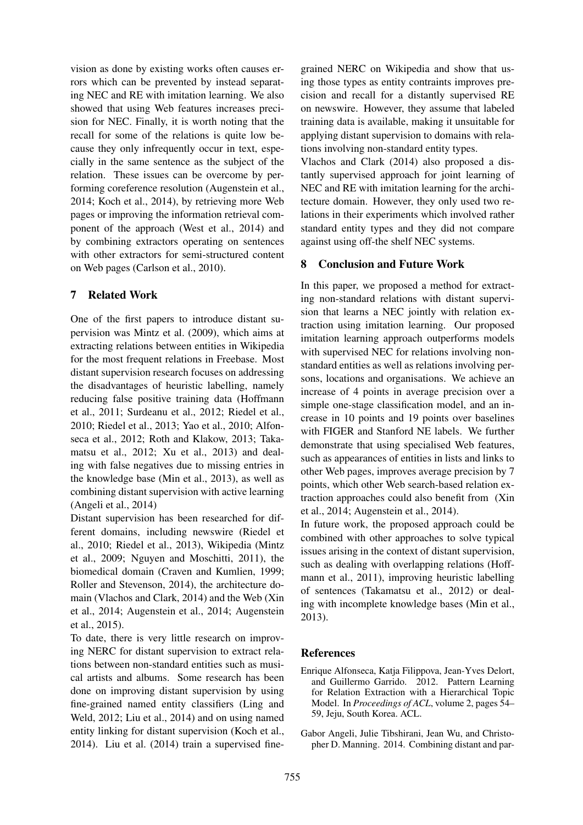vision as done by existing works often causes errors which can be prevented by instead separating NEC and RE with imitation learning. We also showed that using Web features increases precision for NEC. Finally, it is worth noting that the recall for some of the relations is quite low because they only infrequently occur in text, especially in the same sentence as the subject of the relation. These issues can be overcome by performing coreference resolution (Augenstein et al., 2014; Koch et al., 2014), by retrieving more Web pages or improving the information retrieval component of the approach (West et al., 2014) and by combining extractors operating on sentences with other extractors for semi-structured content on Web pages (Carlson et al., 2010).

## 7 Related Work

One of the first papers to introduce distant supervision was Mintz et al. (2009), which aims at extracting relations between entities in Wikipedia for the most frequent relations in Freebase. Most distant supervision research focuses on addressing the disadvantages of heuristic labelling, namely reducing false positive training data (Hoffmann et al., 2011; Surdeanu et al., 2012; Riedel et al., 2010; Riedel et al., 2013; Yao et al., 2010; Alfonseca et al., 2012; Roth and Klakow, 2013; Takamatsu et al., 2012; Xu et al., 2013) and dealing with false negatives due to missing entries in the knowledge base (Min et al., 2013), as well as combining distant supervision with active learning (Angeli et al., 2014)

Distant supervision has been researched for different domains, including newswire (Riedel et al., 2010; Riedel et al., 2013), Wikipedia (Mintz et al., 2009; Nguyen and Moschitti, 2011), the biomedical domain (Craven and Kumlien, 1999; Roller and Stevenson, 2014), the architecture domain (Vlachos and Clark, 2014) and the Web (Xin et al., 2014; Augenstein et al., 2014; Augenstein et al., 2015).

To date, there is very little research on improving NERC for distant supervision to extract relations between non-standard entities such as musical artists and albums. Some research has been done on improving distant supervision by using fine-grained named entity classifiers (Ling and Weld, 2012; Liu et al., 2014) and on using named entity linking for distant supervision (Koch et al., 2014). Liu et al. (2014) train a supervised fine-

grained NERC on Wikipedia and show that using those types as entity contraints improves precision and recall for a distantly supervised RE on newswire. However, they assume that labeled training data is available, making it unsuitable for applying distant supervision to domains with relations involving non-standard entity types.

Vlachos and Clark (2014) also proposed a distantly supervised approach for joint learning of NEC and RE with imitation learning for the architecture domain. However, they only used two relations in their experiments which involved rather standard entity types and they did not compare against using off-the shelf NEC systems.

## 8 Conclusion and Future Work

In this paper, we proposed a method for extracting non-standard relations with distant supervision that learns a NEC jointly with relation extraction using imitation learning. Our proposed imitation learning approach outperforms models with supervised NEC for relations involving nonstandard entities as well as relations involving persons, locations and organisations. We achieve an increase of 4 points in average precision over a simple one-stage classification model, and an increase in 10 points and 19 points over baselines with FIGER and Stanford NE labels. We further demonstrate that using specialised Web features, such as appearances of entities in lists and links to other Web pages, improves average precision by 7 points, which other Web search-based relation extraction approaches could also benefit from (Xin et al., 2014; Augenstein et al., 2014).

In future work, the proposed approach could be combined with other approaches to solve typical issues arising in the context of distant supervision, such as dealing with overlapping relations (Hoffmann et al., 2011), improving heuristic labelling of sentences (Takamatsu et al., 2012) or dealing with incomplete knowledge bases (Min et al., 2013).

### References

- Enrique Alfonseca, Katja Filippova, Jean-Yves Delort, and Guillermo Garrido. 2012. Pattern Learning for Relation Extraction with a Hierarchical Topic Model. In *Proceedings of ACL*, volume 2, pages 54– 59, Jeju, South Korea. ACL.
- Gabor Angeli, Julie Tibshirani, Jean Wu, and Christopher D. Manning. 2014. Combining distant and par-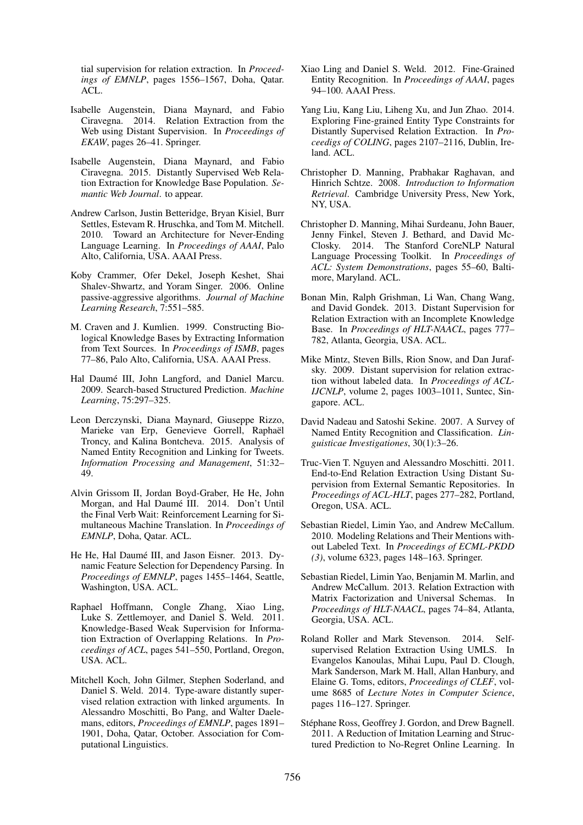tial supervision for relation extraction. In *Proceedings of EMNLP*, pages 1556–1567, Doha, Qatar. ACL.

- Isabelle Augenstein, Diana Maynard, and Fabio Ciravegna. 2014. Relation Extraction from the Web using Distant Supervision. In *Proceedings of EKAW*, pages 26–41. Springer.
- Isabelle Augenstein, Diana Maynard, and Fabio Ciravegna. 2015. Distantly Supervised Web Relation Extraction for Knowledge Base Population. *Semantic Web Journal*. to appear.
- Andrew Carlson, Justin Betteridge, Bryan Kisiel, Burr Settles, Estevam R. Hruschka, and Tom M. Mitchell. 2010. Toward an Architecture for Never-Ending Language Learning. In *Proceedings of AAAI*, Palo Alto, California, USA. AAAI Press.
- Koby Crammer, Ofer Dekel, Joseph Keshet, Shai Shalev-Shwartz, and Yoram Singer. 2006. Online passive-aggressive algorithms. *Journal of Machine Learning Research*, 7:551–585.
- M. Craven and J. Kumlien. 1999. Constructing Biological Knowledge Bases by Extracting Information from Text Sources. In *Proceedings of ISMB*, pages 77–86, Palo Alto, California, USA. AAAI Press.
- Hal Daumé III, John Langford, and Daniel Marcu. 2009. Search-based Structured Prediction. *Machine Learning*, 75:297–325.
- Leon Derczynski, Diana Maynard, Giuseppe Rizzo, Marieke van Erp, Genevieve Gorrell, Raphaël Troncy, and Kalina Bontcheva. 2015. Analysis of Named Entity Recognition and Linking for Tweets. *Information Processing and Management*, 51:32– 49.
- Alvin Grissom II, Jordan Boyd-Graber, He He, John Morgan, and Hal Daumé III. 2014. Don't Until the Final Verb Wait: Reinforcement Learning for Simultaneous Machine Translation. In *Proceedings of EMNLP*, Doha, Qatar. ACL.
- He He, Hal Daumé III, and Jason Eisner. 2013. Dynamic Feature Selection for Dependency Parsing. In *Proceedings of EMNLP*, pages 1455–1464, Seattle, Washington, USA. ACL.
- Raphael Hoffmann, Congle Zhang, Xiao Ling, Luke S. Zettlemoyer, and Daniel S. Weld. 2011. Knowledge-Based Weak Supervision for Information Extraction of Overlapping Relations. In *Proceedings of ACL*, pages 541–550, Portland, Oregon, USA. ACL.
- Mitchell Koch, John Gilmer, Stephen Soderland, and Daniel S. Weld. 2014. Type-aware distantly supervised relation extraction with linked arguments. In Alessandro Moschitti, Bo Pang, and Walter Daelemans, editors, *Proceedings of EMNLP*, pages 1891– 1901, Doha, Qatar, October. Association for Computational Linguistics.
- Xiao Ling and Daniel S. Weld. 2012. Fine-Grained Entity Recognition. In *Proceedings of AAAI*, pages 94–100. AAAI Press.
- Yang Liu, Kang Liu, Liheng Xu, and Jun Zhao. 2014. Exploring Fine-grained Entity Type Constraints for Distantly Supervised Relation Extraction. In *Proceedigs of COLING*, pages 2107–2116, Dublin, Ireland. ACL.
- Christopher D. Manning, Prabhakar Raghavan, and Hinrich Schtze. 2008. *Introduction to Information Retrieval*. Cambridge University Press, New York, NY, USA.
- Christopher D. Manning, Mihai Surdeanu, John Bauer, Jenny Finkel, Steven J. Bethard, and David Mc-Closky. 2014. The Stanford CoreNLP Natural Language Processing Toolkit. In *Proceedings of ACL: System Demonstrations*, pages 55–60, Baltimore, Maryland. ACL.
- Bonan Min, Ralph Grishman, Li Wan, Chang Wang, and David Gondek. 2013. Distant Supervision for Relation Extraction with an Incomplete Knowledge Base. In *Proceedings of HLT-NAACL*, pages 777– 782, Atlanta, Georgia, USA. ACL.
- Mike Mintz, Steven Bills, Rion Snow, and Dan Jurafsky. 2009. Distant supervision for relation extraction without labeled data. In *Proceedings of ACL-IJCNLP*, volume 2, pages 1003–1011, Suntec, Singapore. ACL.
- David Nadeau and Satoshi Sekine. 2007. A Survey of Named Entity Recognition and Classification. *Linguisticae Investigationes*, 30(1):3–26.
- Truc-Vien T. Nguyen and Alessandro Moschitti. 2011. End-to-End Relation Extraction Using Distant Supervision from External Semantic Repositories. In *Proceedings of ACL-HLT*, pages 277–282, Portland, Oregon, USA. ACL.
- Sebastian Riedel, Limin Yao, and Andrew McCallum. 2010. Modeling Relations and Their Mentions without Labeled Text. In *Proceedings of ECML-PKDD (3)*, volume 6323, pages 148–163. Springer.
- Sebastian Riedel, Limin Yao, Benjamin M. Marlin, and Andrew McCallum. 2013. Relation Extraction with Matrix Factorization and Universal Schemas. In *Proceedings of HLT-NAACL*, pages 74–84, Atlanta, Georgia, USA. ACL.
- Roland Roller and Mark Stevenson. 2014. Selfsupervised Relation Extraction Using UMLS. In Evangelos Kanoulas, Mihai Lupu, Paul D. Clough, Mark Sanderson, Mark M. Hall, Allan Hanbury, and Elaine G. Toms, editors, *Proceedings of CLEF*, volume 8685 of *Lecture Notes in Computer Science*, pages 116–127. Springer.
- Stéphane Ross, Geoffrey J. Gordon, and Drew Bagnell. 2011. A Reduction of Imitation Learning and Structured Prediction to No-Regret Online Learning. In